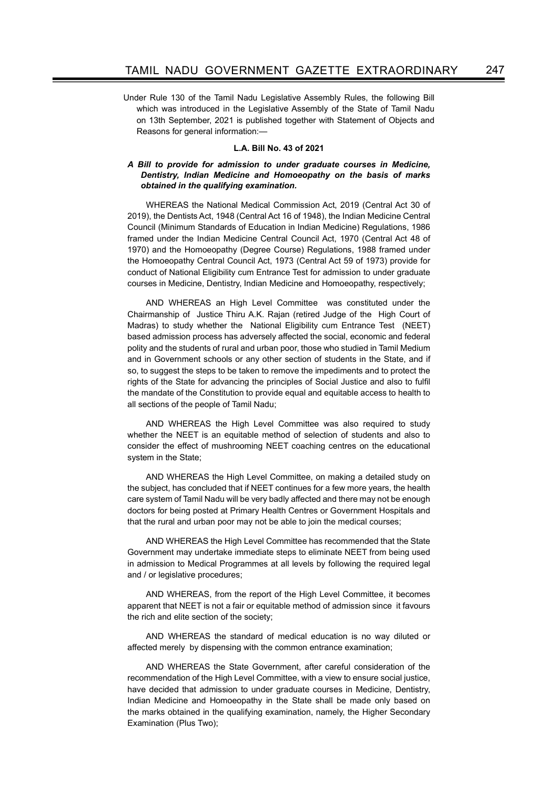Under Rule 130 of the Tamil Nadu Legislative Assembly Rules, the following Bill which was introduced in the Legislative Assembly of the State of Tamil Nadu on 13th September, 2021 is published together with Statement of Objects and Reasons for general information:-

### L.A. Bill No. 43 of 2021

#### A Bill to provide for admission to under graduate courses in Medicine, Dentistry, Indian Medicine and Homoeopathy on the basis of marks obtained in the qualifying examination.

WHEREAS the National Medical Commission Act, 2019 (Central Act 30 of 2019), the Dentists Act, 1948 (Central Act 16 of 1948), the Indian Medicine Central Council (Minimum Standards of Education in Indian Medicine) Regulations, 1986 framed under the Indian Medicine Central Council Act, 1970 (Central Act 48 of 1970) and the Homoeopathy (Degree Course) Regulations, 1988 framed under the Homoeopathy Central Council Act, 1973 (Central Act 59 of 1973) provide for conduct of National Eligibility cum Entrance Test for admission to under graduate courses in Medicine, Dentistry, Indian Medicine and Homoeopathy, respectively;

AND WHEREAS an High Level Committee was constituted under the Chairmanship of Justice Thiru A.K. Rajan (retired Judge of the High Court of Madras) to study whether the National Eligibility cum Entrance Test (NEET) based admission process has adversely affected the social, economic and federal polity and the students of rural and urban poor, those who studied in Tamil Medium and in Government schools or any other section of students in the State, and if so, to suggest the steps to be taken to remove the impediments and to protect the rights of the State for advancing the principles of Social Justice and also to fulfil the mandate of the Constitution to provide equal and equitable access to health to all sections of the people of Tamil Nadu;

AND WHEREAS the High Level Committee was also required to study whether the NEET is an equitable method of selection of students and also to consider the effect of mushrooming NEET coaching centres on the educational system in the State;

AND WHEREAS the High Level Committee, on making a detailed study on the subject, has concluded that if NEET continues for a few more years, the health care system of Tamil Nadu will be very badly affected and there may not be enough doctors for being posted at Primary Health Centres or Government Hospitals and that the rural and urban poor may not be able to join the medical courses;

AND WHEREAS the High Level Committee has recommended that the State Government may undertake immediate steps to eliminate NEET from being used in admission to Medical Programmes at all levels by following the required legal and / or legislative procedures;

AND WHEREAS, from the report of the High Level Committee, it becomes apparent that NEET is not a fair or equitable method of admission since it favours the rich and elite section of the society;

AND WHEREAS the standard of medical education is no way diluted or affected merely by dispensing with the common entrance examination;

AND WHEREAS the State Government, after careful consideration of the recommendation of the High Level Committee, with a view to ensure social justice, have decided that admission to under graduate courses in Medicine, Dentistry, Indian Medicine and Homoeopathy in the State shall be made only based on the marks obtained in the qualifying examination, namely, the Higher Secondary Examination (Plus Two);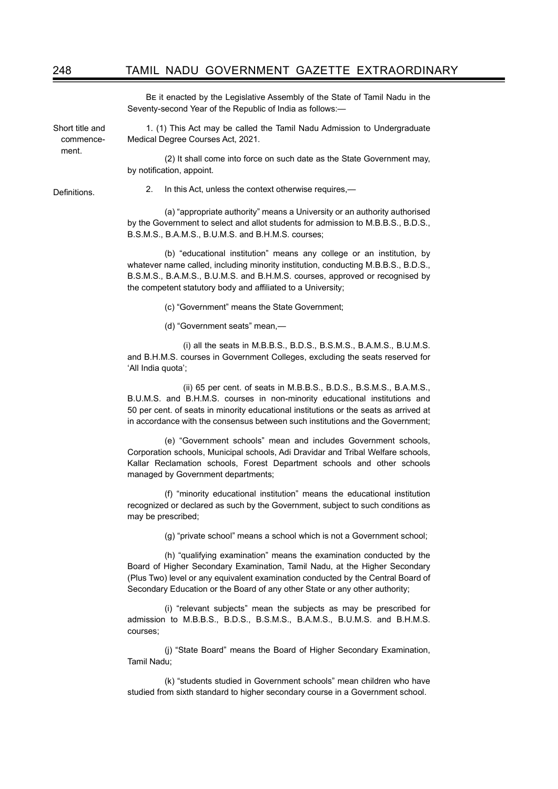BE it enacted by the Legislative Assembly of the State of Tamil Nadu in the Seventy-second Year of the Republic of India as follows:—

Short title and commencement.

1. (1) This Act may be called the Tamil Nadu Admission to Undergraduate Medical Degree Courses Act, 2021.

 (2) It shall come into force on such date as the State Government may, by notification, appoint.

**Definitions** 

2. In this Act, unless the context otherwise requires,—

 (a) "appropriate authority" means a University or an authority authorised by the Government to select and allot students for admission to M.B.B.S., B.D.S., B.S.M.S., B.A.M.S., B.U.M.S. and B.H.M.S. courses;

 (b) "educational institution" means any college or an institution, by whatever name called, including minority institution, conducting M.B.B.S., B.D.S., B.S.M.S., B.A.M.S., B.U.M.S. and B.H.M.S. courses, approved or recognised by the competent statutory body and affiliated to a University;

(c) "Government" means the State Government;

(d) "Government seats" mean,—

 (i) all the seats in M.B.B.S., B.D.S., B.S.M.S., B.A.M.S., B.U.M.S. and B.H.M.S. courses in Government Colleges, excluding the seats reserved for 'All India quota';

 (ii) 65 per cent. of seats in M.B.B.S., B.D.S., B.S.M.S., B.A.M.S., B.U.M.S. and B.H.M.S. courses in non-minority educational institutions and 50 per cent. of seats in minority educational institutions or the seats as arrived at in accordance with the consensus between such institutions and the Government;

 (e) "Government schools" mean and includes Government schools, Corporation schools, Municipal schools, Adi Dravidar and Tribal Welfare schools, Kallar Reclamation schools, Forest Department schools and other schools managed by Government departments;

 (f) "minority educational institution" means the educational institution recognized or declared as such by the Government, subject to such conditions as may be prescribed;

(g) "private school" means a school which is not a Government school;

 (h) "qualifying examination" means the examination conducted by the Board of Higher Secondary Examination, Tamil Nadu, at the Higher Secondary (Plus Two) level or any equivalent examination conducted by the Central Board of Secondary Education or the Board of any other State or any other authority;

 (i) "relevant subjects" mean the subjects as may be prescribed for admission to M.B.B.S., B.D.S., B.S.M.S., B.A.M.S., B.U.M.S. and B.H.M.S. courses;

 (j) "State Board" means the Board of Higher Secondary Examination, Tamil Nadu;

 (k) "students studied in Government schools" mean children who have studied from sixth standard to higher secondary course in a Government school.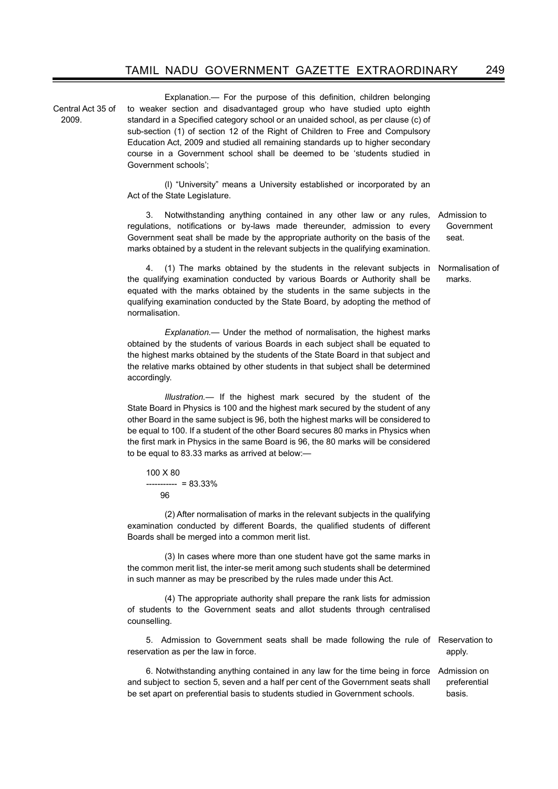Central Act 35 of 2009.

Explanation.— For the purpose of this definition, children belonging to weaker section and disadvantaged group who have studied upto eighth standard in a Specified category school or an unaided school, as per clause (c) of sub-section (1) of section 12 of the Right of Children to Free and Compulsory Education Act, 2009 and studied all remaining standards up to higher secondary course in a Government school shall be deemed to be 'students studied in Government schools';

 (l) "University" means a University established or incorporated by an Act of the State Legislature.

3. Notwithstanding anything contained in any other law or any rules, Admission to regulations, notifications or by-laws made thereunder, admission to every Government seat shall be made by the appropriate authority on the basis of the marks obtained by a student in the relevant subjects in the qualifying examination. Government seat.

Normalisation of

4. (1) The marks obtained by the students in the relevant subjects in the qualifying examination conducted by various Boards or Authority shall be equated with the marks obtained by the students in the same subjects in the qualifying examination conducted by the State Board, by adopting the method of normalisation. marks.

Explanation.— Under the method of normalisation, the highest marks obtained by the students of various Boards in each subject shall be equated to the highest marks obtained by the students of the State Board in that subject and the relative marks obtained by other students in that subject shall be determined accordingly.

Illustration.— If the highest mark secured by the student of the State Board in Physics is 100 and the highest mark secured by the student of any other Board in the same subject is 96, both the highest marks will be considered to be equal to 100. If a student of the other Board secures 80 marks in Physics when the first mark in Physics in the same Board is 96, the 80 marks will be considered to be equal to 83.33 marks as arrived at below:—

100 X 80 ----------- = 83.33% 96

 (2) After normalisation of marks in the relevant subjects in the qualifying examination conducted by different Boards, the qualified students of different Boards shall be merged into a common merit list.

 (3) In cases where more than one student have got the same marks in the common merit list, the inter-se merit among such students shall be determined in such manner as may be prescribed by the rules made under this Act.

 (4) The appropriate authority shall prepare the rank lists for admission of students to the Government seats and allot students through centralised counselling.

5. Admission to Government seats shall be made following the rule of Reservation to reservation as per the law in force.

apply.

6. Notwithstanding anything contained in any law for the time being in force and subject to section 5, seven and a half per cent of the Government seats shall be set apart on preferential basis to students studied in Government schools. Admission on preferential basis.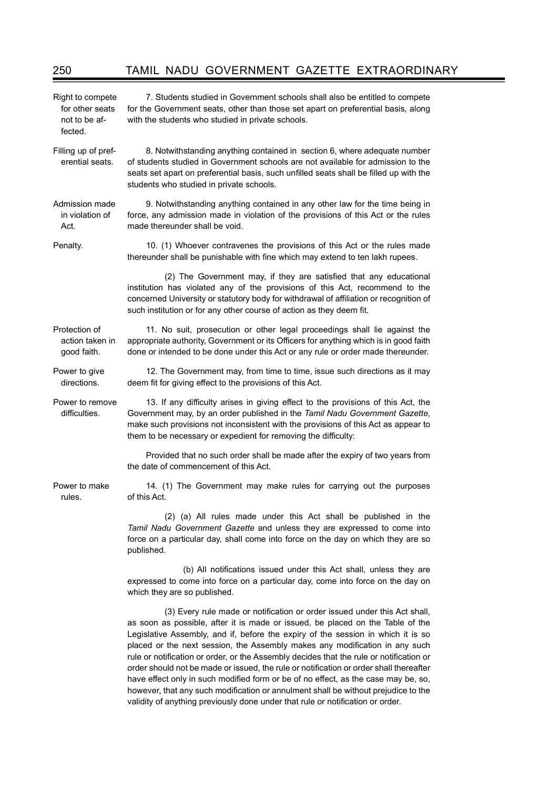| Right to compete<br>for other seats<br>not to be af-<br>fected. | 7. Students studied in Government schools shall also be entitled to compete<br>for the Government seats, other than those set apart on preferential basis, along<br>with the students who studied in private schools.                                                                                                                                                                                                                                                                                                                                                                                     |
|-----------------------------------------------------------------|-----------------------------------------------------------------------------------------------------------------------------------------------------------------------------------------------------------------------------------------------------------------------------------------------------------------------------------------------------------------------------------------------------------------------------------------------------------------------------------------------------------------------------------------------------------------------------------------------------------|
| Filling up of pref-<br>erential seats.                          | 8. Notwithstanding anything contained in section 6, where adequate number<br>of students studied in Government schools are not available for admission to the<br>seats set apart on preferential basis, such unfilled seats shall be filled up with the<br>students who studied in private schools.                                                                                                                                                                                                                                                                                                       |
| Admission made<br>in violation of<br>Act.                       | 9. Notwithstanding anything contained in any other law for the time being in<br>force, any admission made in violation of the provisions of this Act or the rules<br>made thereunder shall be void.                                                                                                                                                                                                                                                                                                                                                                                                       |
| Penalty.                                                        | 10. (1) Whoever contravenes the provisions of this Act or the rules made<br>thereunder shall be punishable with fine which may extend to ten lakh rupees.                                                                                                                                                                                                                                                                                                                                                                                                                                                 |
|                                                                 | (2) The Government may, if they are satisfied that any educational<br>institution has violated any of the provisions of this Act, recommend to the<br>concerned University or statutory body for withdrawal of affiliation or recognition of<br>such institution or for any other course of action as they deem fit.                                                                                                                                                                                                                                                                                      |
| Protection of<br>action taken in<br>good faith.                 | 11. No suit, prosecution or other legal proceedings shall lie against the<br>appropriate authority, Government or its Officers for anything which is in good faith<br>done or intended to be done under this Act or any rule or order made thereunder.                                                                                                                                                                                                                                                                                                                                                    |
| Power to give<br>directions.                                    | 12. The Government may, from time to time, issue such directions as it may<br>deem fit for giving effect to the provisions of this Act.                                                                                                                                                                                                                                                                                                                                                                                                                                                                   |
| Power to remove<br>difficulties.                                | 13. If any difficulty arises in giving effect to the provisions of this Act, the<br>Government may, by an order published in the Tamil Nadu Government Gazette,<br>make such provisions not inconsistent with the provisions of this Act as appear to<br>them to be necessary or expedient for removing the difficulty:                                                                                                                                                                                                                                                                                   |
|                                                                 | Provided that no such order shall be made after the expiry of two years from<br>the date of commencement of this Act.                                                                                                                                                                                                                                                                                                                                                                                                                                                                                     |
| Power to make<br>rules.                                         | 14. (1) The Government may make rules for carrying out the purposes<br>of this Act.                                                                                                                                                                                                                                                                                                                                                                                                                                                                                                                       |
|                                                                 | (2) (a) All rules made under this Act shall be published in the<br>Tamil Nadu Government Gazette and unless they are expressed to come into<br>force on a particular day, shall come into force on the day on which they are so<br>published.                                                                                                                                                                                                                                                                                                                                                             |
|                                                                 | (b) All notifications issued under this Act shall, unless they are<br>expressed to come into force on a particular day, come into force on the day on<br>which they are so published.                                                                                                                                                                                                                                                                                                                                                                                                                     |
|                                                                 | (3) Every rule made or notification or order issued under this Act shall,<br>as soon as possible, after it is made or issued, be placed on the Table of the<br>Legislative Assembly, and if, before the expiry of the session in which it is so<br>placed or the next session, the Assembly makes any modification in any such<br>rule or notification or order, or the Assembly decides that the rule or notification or<br>order should not be made or issued, the rule or notification or order shall thereafter<br>have effect only in such modified form or be of no effect, as the case may be, so, |

however, that any such modification or annulment shall be without prejudice to the validity of anything previously done under that rule or notification or order.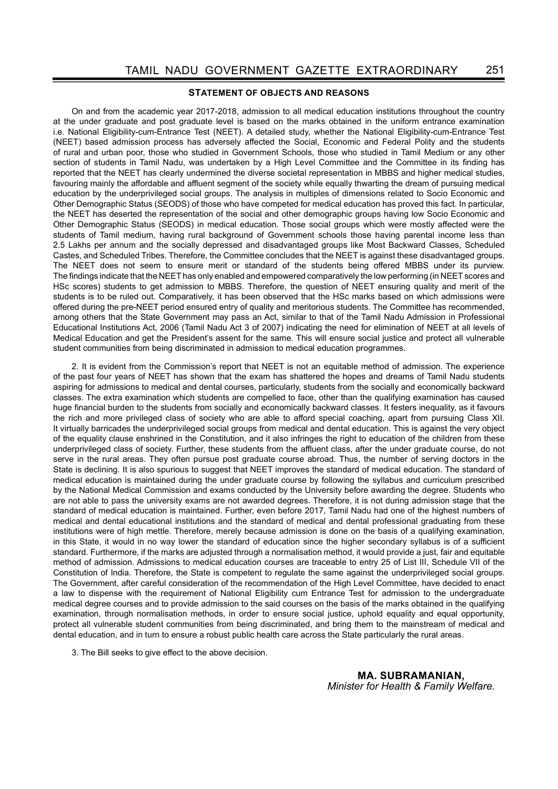### STATEMENT OF OBJECTS AND REASONS

On and from the academic year 2017-2018, admission to all medical education institutions throughout the country at the under graduate and post graduate level is based on the marks obtained in the uniform entrance examination i.e. National Eligibility-cum-Entrance Test (NEET). A detailed study, whether the National Eligibility-cum-Entrance Test (NEET) based admission process has adversely affected the Social, Economic and Federal Polity and the students of rural and urban poor, those who studied in Government Schools, those who studied in Tamil Medium or any other section of students in Tamil Nadu, was undertaken by a High Level Committee and the Committee in its finding has reported that the NEET has clearly undermined the diverse societal representation in MBBS and higher medical studies, favouring mainly the affordable and affluent segment of the society while equally thwarting the dream of pursuing medical education by the underprivileged social groups. The analysis in multiples of dimensions related to Socio Economic and Other Demographic Status (SEODS) of those who have competed for medical education has proved this fact. In particular, the NEET has deserted the representation of the social and other demographic groups having low Socio Economic and Other Demographic Status (SEODS) in medical education. Those social groups which were mostly affected were the students of Tamil medium, having rural background of Government schools those having parental income less than 2.5 Lakhs per annum and the socially depressed and disadvantaged groups like Most Backward Classes, Scheduled Castes, and Scheduled Tribes. Therefore, the Committee concludes that the NEET is against these disadvantaged groups. The NEET does not seem to ensure merit or standard of the students being offered MBBS under its purview. The findings indicate that the NEET has only enabled and empowered comparatively the low performing (in NEET scores and HSc scores) students to get admission to MBBS. Therefore, the question of NEET ensuring quality and merit of the students is to be ruled out. Comparatively, it has been observed that the HSc marks based on which admissions were offered during the pre-NEET period ensured entry of quality and meritorious students. The Committee has recommended, among others that the State Government may pass an Act, similar to that of the Tamil Nadu Admission in Professional Educational Institutions Act, 2006 (Tamil Nadu Act 3 of 2007) indicating the need for elimination of NEET at all levels of Medical Education and get the President's assent for the same. This will ensure social justice and protect all vulnerable student communities from being discriminated in admission to medical education programmes.

2. It is evident from the Commission's report that NEET is not an equitable method of admission. The experience of the past four years of NEET has shown that the exam has shattered the hopes and dreams of Tamil Nadu students aspiring for admissions to medical and dental courses, particularly, students from the socially and economically backward classes. The extra examination which students are compelled to face, other than the qualifying examination has caused huge financial burden to the students from socially and economically backward classes. It festers inequality, as it favours the rich and more privileged class of society who are able to afford special coaching, apart from pursuing Class XII. It virtually barricades the underprivileged social groups from medical and dental education. This is against the very object of the equality clause enshrined in the Constitution, and it also infringes the right to education of the children from these underprivileged class of society. Further, these students from the affluent class, after the under graduate course, do not serve in the rural areas. They often pursue post graduate course abroad. Thus, the number of serving doctors in the State is declining. It is also spurious to suggest that NEET improves the standard of medical education. The standard of medical education is maintained during the under graduate course by following the syllabus and curriculum prescribed by the National Medical Commission and exams conducted by the University before awarding the degree. Students who are not able to pass the university exams are not awarded degrees. Therefore, it is not during admission stage that the standard of medical education is maintained. Further, even before 2017, Tamil Nadu had one of the highest numbers of medical and dental educational institutions and the standard of medical and dental professional graduating from these institutions were of high mettle. Therefore, merely because admission is done on the basis of a qualifying examination, in this State, it would in no way lower the standard of education since the higher secondary syllabus is of a sufficient standard. Furthermore, if the marks are adjusted through a normalisation method, it would provide a just, fair and equitable method of admission. Admissions to medical education courses are traceable to entry 25 of List III, Schedule VII of the Constitution of India. Therefore, the State is competent to regulate the same against the underprivileged social groups. The Government, after careful consideration of the recommendation of the High Level Committee, have decided to enact a law to dispense with the requirement of National Eligibility cum Entrance Test for admission to the undergraduate medical degree courses and to provide admission to the said courses on the basis of the marks obtained in the qualifying examination, through normalisation methods, in order to ensure social justice, uphold equality and equal opportunity, protect all vulnerable student communities from being discriminated, and bring them to the mainstream of medical and dental education, and in turn to ensure a robust public health care across the State particularly the rural areas.

3. The Bill seeks to give effect to the above decision.

MA. SUBRAMANIAN, Minister for Health & Family Welfare.